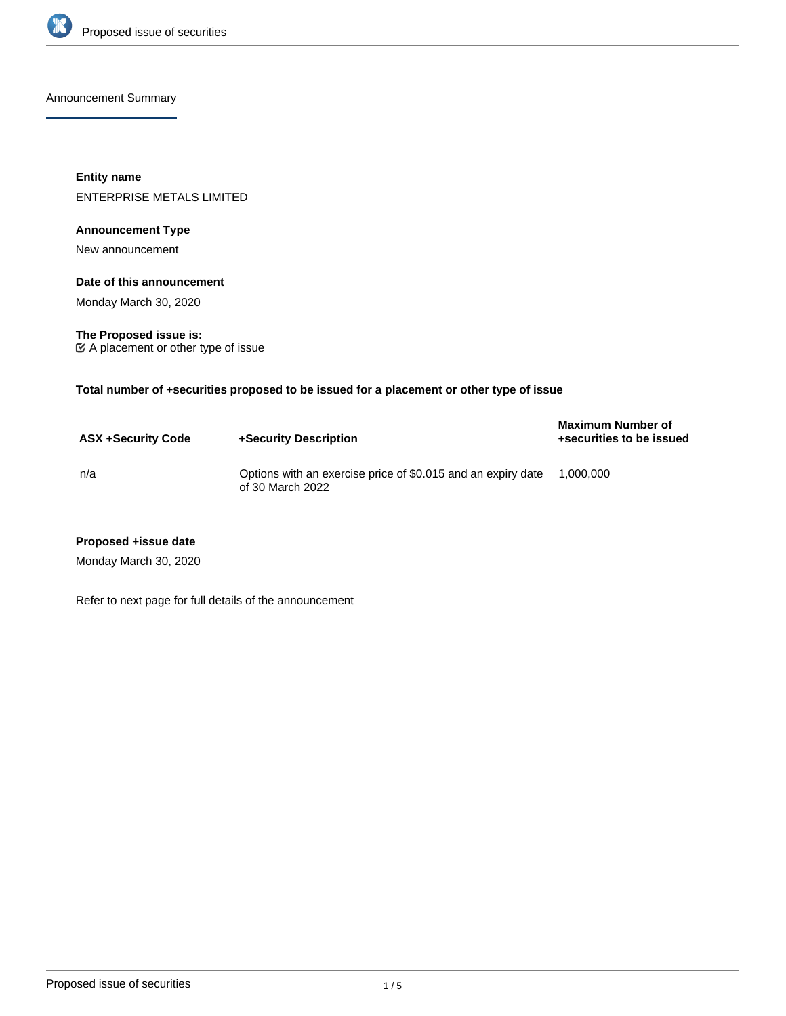

Announcement Summary

**Entity name** ENTERPRISE METALS LIMITED

## **Announcement Type**

New announcement

#### **Date of this announcement**

Monday March 30, 2020

**The Proposed issue is:** A placement or other type of issue

**Total number of +securities proposed to be issued for a placement or other type of issue**

| <b>ASX +Security Code</b> | +Security Description                                                            | <b>Maximum Number of</b><br>+securities to be issued |
|---------------------------|----------------------------------------------------------------------------------|------------------------------------------------------|
| n/a                       | Options with an exercise price of \$0.015 and an expiry date<br>of 30 March 2022 | 1.000.000                                            |

#### **Proposed +issue date**

Monday March 30, 2020

Refer to next page for full details of the announcement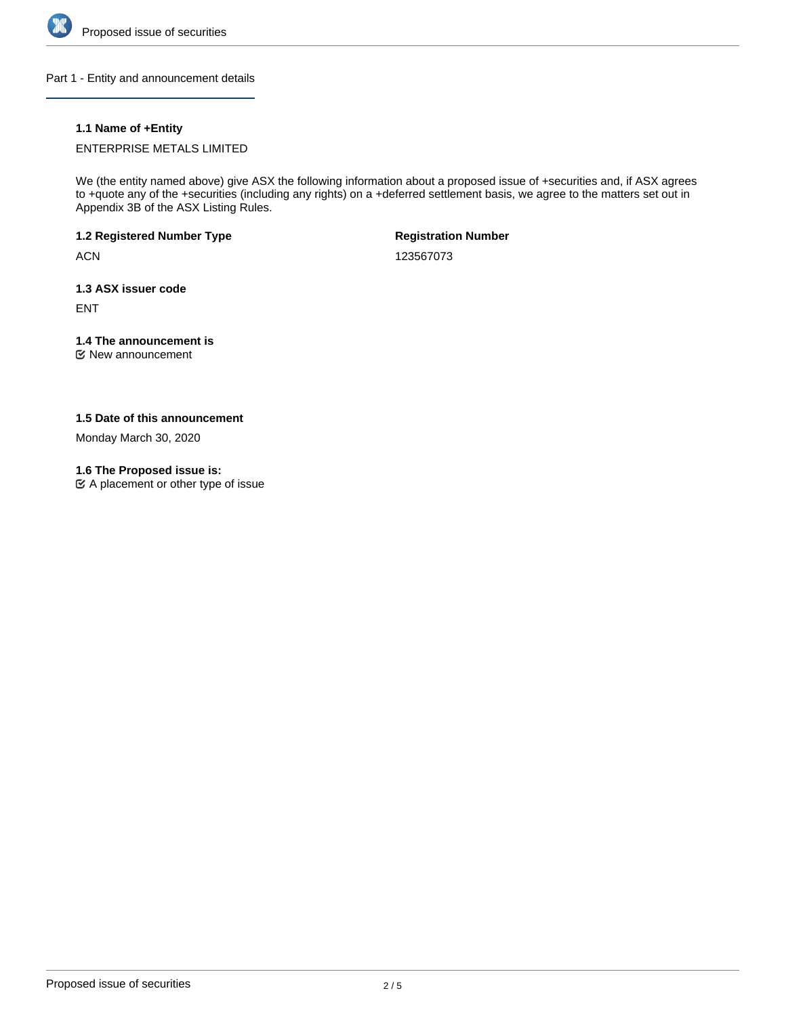

Part 1 - Entity and announcement details

# **1.1 Name of +Entity**

ENTERPRISE METALS LIMITED

We (the entity named above) give ASX the following information about a proposed issue of +securities and, if ASX agrees to +quote any of the +securities (including any rights) on a +deferred settlement basis, we agree to the matters set out in Appendix 3B of the ASX Listing Rules.

**1.2 Registered Number Type**

ACN

**Registration Number**

123567073

**1.3 ASX issuer code**

ENT

# **1.4 The announcement is**

New announcement

## **1.5 Date of this announcement**

Monday March 30, 2020

### **1.6 The Proposed issue is:**

A placement or other type of issue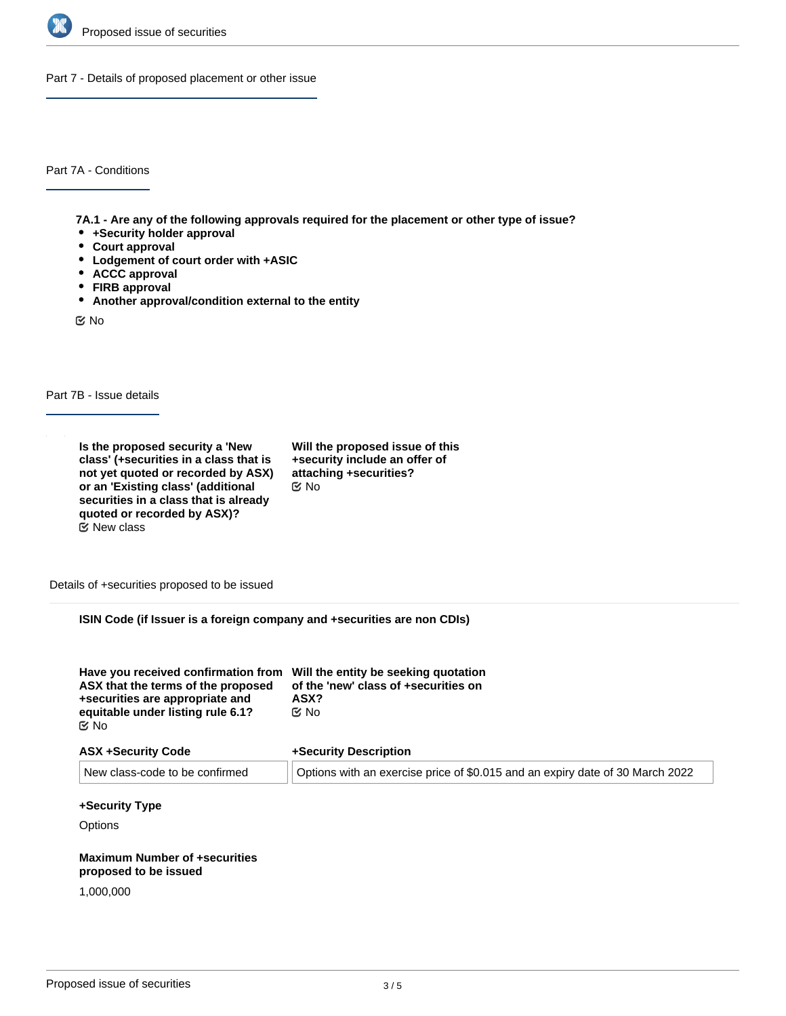

Part 7 - Details of proposed placement or other issue

Part 7A - Conditions

**7A.1 - Are any of the following approvals required for the placement or other type of issue?**

- **+Security holder approval**
- **Court approval**
- **Lodgement of court order with +ASIC**
- **ACCC approval**
- **FIRB approval**
- **Another approval/condition external to the entity**

No

Part 7B - Issue details

**Is the proposed security a 'New class' (+securities in a class that is not yet quoted or recorded by ASX) or an 'Existing class' (additional securities in a class that is already quoted or recorded by ASX)?**  $E$  New class

**Will the proposed issue of this +security include an offer of attaching +securities?** No

Details of +securities proposed to be issued

**ISIN Code (if Issuer is a foreign company and +securities are non CDIs)**

| Have you received confirmation from Will the entity be seeking quotation<br>ASX that the terms of the proposed<br>+securities are appropriate and<br>equitable under listing rule 6.1?<br><b>Mo</b> | of the 'new' class of +securities on<br>ASX?<br><b>MO</b>                     |
|-----------------------------------------------------------------------------------------------------------------------------------------------------------------------------------------------------|-------------------------------------------------------------------------------|
| <b>ASX +Security Code</b>                                                                                                                                                                           | +Security Description                                                         |
| New class-code to be confirmed                                                                                                                                                                      | Options with an exercise price of \$0.015 and an expiry date of 30 March 2022 |

### **+Security Type**

**Options** 

#### **Maximum Number of +securities proposed to be issued**

1,000,000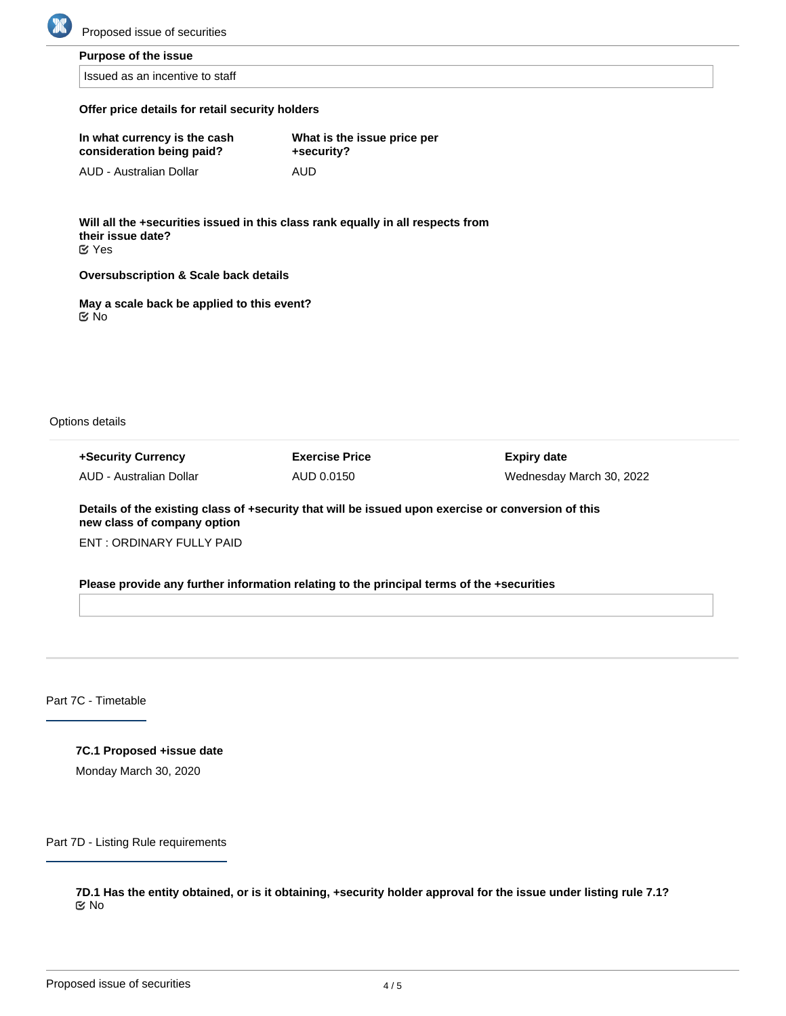

**Purpose of the issue**

Issued as an incentive to staff

#### **Offer price details for retail security holders**

| In what currency is the cash | What is the issue price per |
|------------------------------|-----------------------------|
| consideration being paid?    | +security?                  |
| AUD - Australian Dollar      | AUD                         |

**Will all the +securities issued in this class rank equally in all respects from their issue date?** Yes

**Oversubscription & Scale back details**

**May a scale back be applied to this event?** No

Options details

**+Security Currency** AUD - Australian Dollar **Exercise Price** AUD 0.0150

**Expiry date** Wednesday March 30, 2022

**Details of the existing class of +security that will be issued upon exercise or conversion of this new class of company option**

ENT : ORDINARY FULLY PAID

**Please provide any further information relating to the principal terms of the +securities**

Part 7C - Timetable

**7C.1 Proposed +issue date** Monday March 30, 2020

Part 7D - Listing Rule requirements

**7D.1 Has the entity obtained, or is it obtaining, +security holder approval for the issue under listing rule 7.1?** No